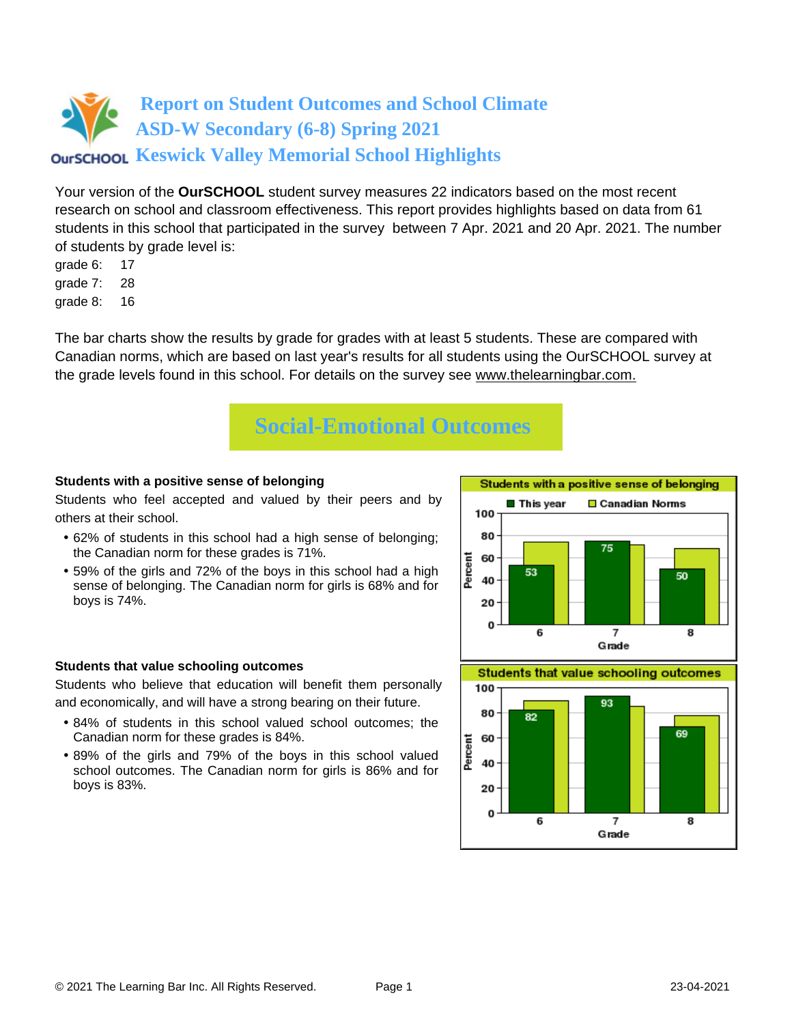Your version of the **OurSCHOOL** student survey measures 22 indicators based on the most recent research on school and classroom effectiveness. This report provides highlights based on data from 61 students in this school that participated in the survey between 7 Apr. 2021 and 20 Apr. 2021. The number of students by grade level is:

- grade 6: 17
- grade 7: 28
- grade 8: 16

The bar charts show the results by grade for grades with at least 5 students. These are compared with Canadian norms, which are based on last year's results for all students using the OurSCHOOL survey at the grade levels found in this school. For details on the survey see [www.thelearningbar.com.](www.thelearningbar.com)



### **Students with a positive sense of belonging**

Students who feel accepted and valued by their peers and by others at their school.

- 62% of students in this school had a high sense of belonging; the Canadian norm for these grades is 71%.
- 59% of the girls and 72% of the boys in this school had a high sense of belonging. The Canadian norm for girls is 68% and for boys is 74%.



#### **Students that value schooling outcomes**

Students who believe that education will benefit them personally and economically, and will have a strong bearing on their future.

- 84% of students in this school valued school outcomes; the Canadian norm for these grades is 84%.
- 89% of the girls and 79% of the boys in this school valued school outcomes. The Canadian norm for girls is 86% and for boys is 83%.

**Students that value schooling outcomes** 

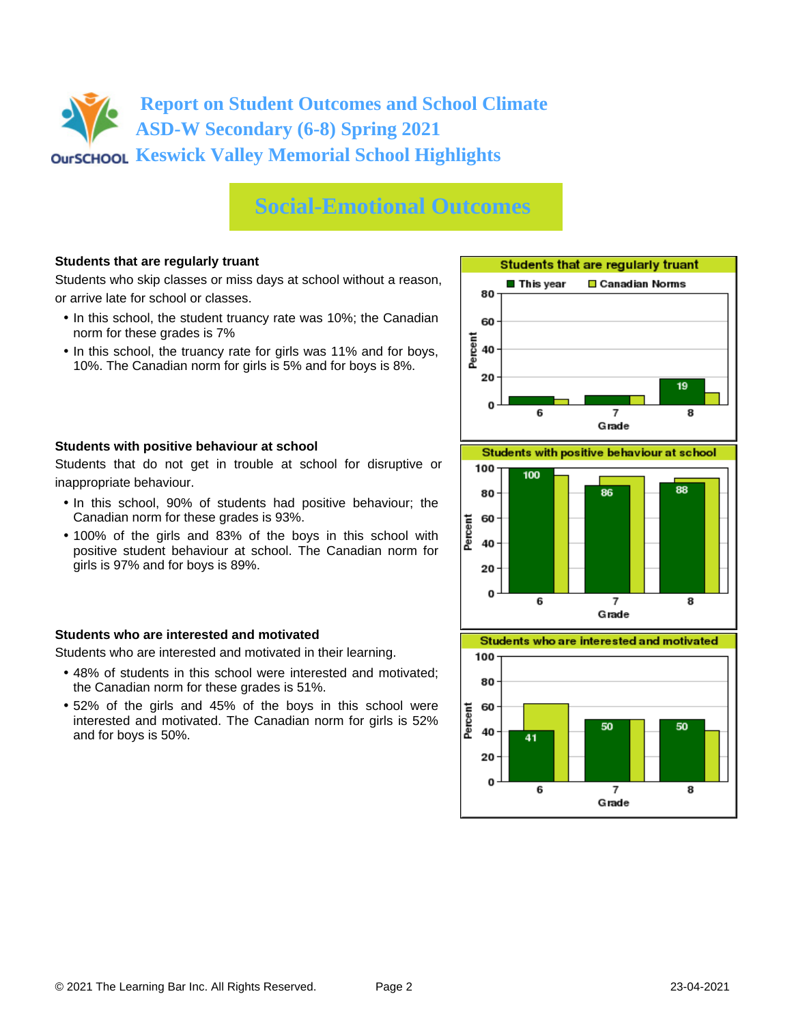### **Social-Emotional Outcomes**

### **Students that are regularly truant**

Students who skip classes or miss days at school without a reason, or arrive late for school or classes.

- In this school, the student truancy rate was 10%; the Canadian norm for these grades is 7%
- In this school, the truancy rate for girls was 11% and for boys, 10%. The Canadian norm for girls is 5% and for boys is 8%.



#### **Students with positive behaviour at school**

Students that do not get in trouble at school for disruptive or inappropriate behaviour.

- In this school, 90% of students had positive behaviour; the Canadian norm for these grades is 93%.
- 100% of the girls and 83% of the boys in this school with positive student behaviour at school. The Canadian norm for girls is 97% and for boys is 89%.

#### **Students who are interested and motivated**

Students who are interested and motivated in their learning.

- 48% of students in this school were interested and motivated; the Canadian norm for these grades is 51%.
- 52% of the girls and 45% of the boys in this school were interested and motivated. The Canadian norm for girls is 52% and for boys is 50%.



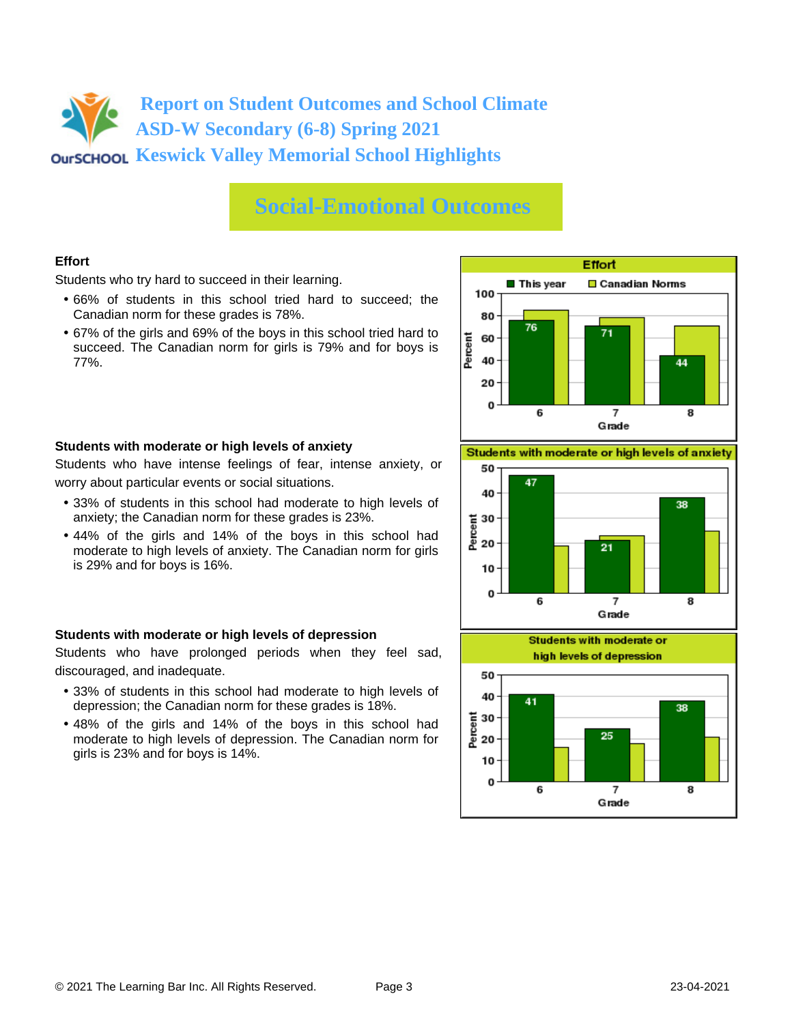### **Social-Emotional Outcomes**

### **Effort**

Students who try hard to succeed in their learning.

- 66% of students in this school tried hard to succeed; the Canadian norm for these grades is 78%.
- 67% of the girls and 69% of the boys in this school tried hard to succeed. The Canadian norm for girls is 79% and for boys is 77%.



#### **Students with moderate or high levels of anxiety**

Students who have intense feelings of fear, intense anxiety, or worry about particular events or social situations.

- 33% of students in this school had moderate to high levels of anxiety; the Canadian norm for these grades is 23%.
- 44% of the girls and 14% of the boys in this school had moderate to high levels of anxiety. The Canadian norm for girls is 29% and for boys is 16%.

### **Students with moderate or high levels of depression**

Students who have prolonged periods when they feel sad, discouraged, and inadequate.

- 33% of students in this school had moderate to high levels of depression; the Canadian norm for these grades is 18%.
- 48% of the girls and 14% of the boys in this school had moderate to high levels of depression. The Canadian norm for girls is 23% and for boys is 14%.

Students with moderate or high levels of anxiety



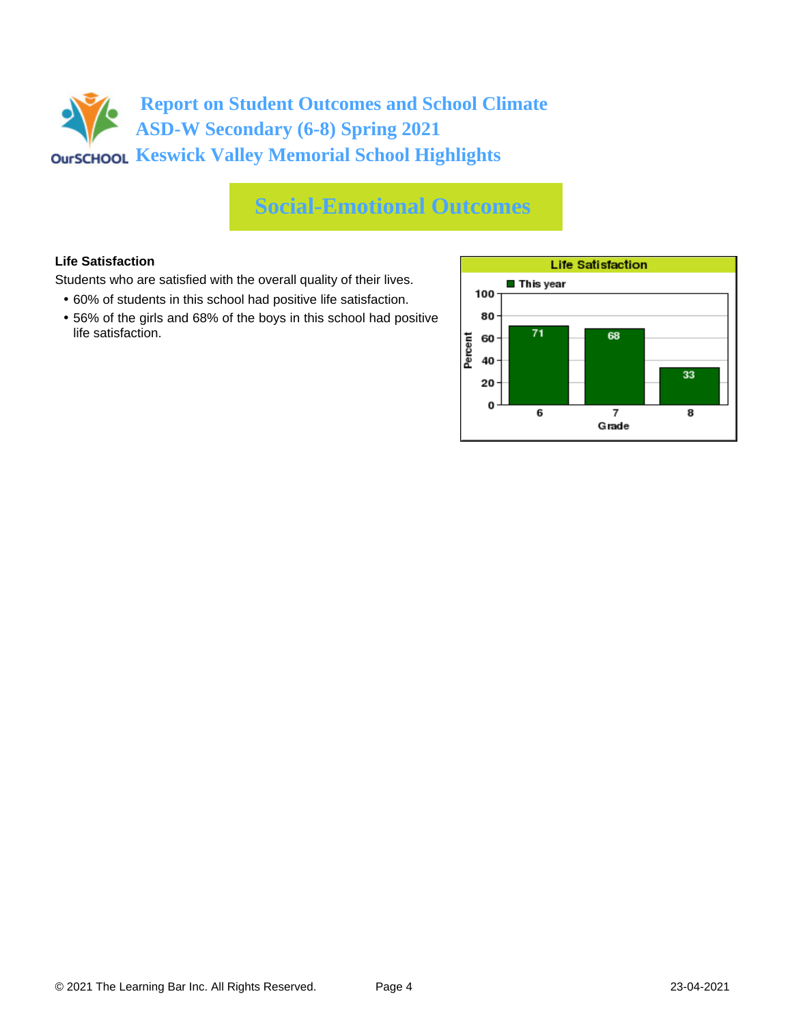## **Social-Emotional Outcomes**

### **Life Satisfaction**

Students who are satisfied with the overall quality of their lives.

- 60% of students in this school had positive life satisfaction.
- 56% of the girls and 68% of the boys in this school had positive life satisfaction.

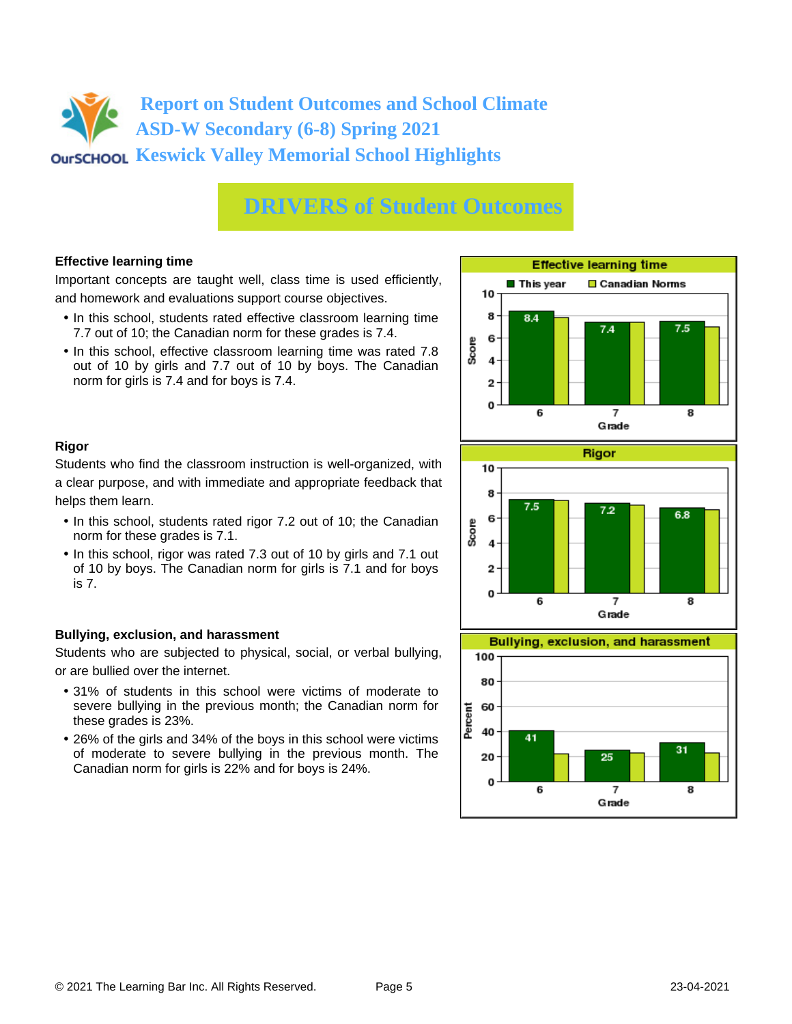### **DRIVERS of Student Outcomes**

### **Effective learning time**

Important concepts are taught well, class time is used efficiently, and homework and evaluations support course objectives.

- In this school, students rated effective classroom learning time 7.7 out of 10; the Canadian norm for these grades is 7.4.
- In this school, effective classroom learning time was rated 7.8 out of 10 by girls and 7.7 out of 10 by boys. The Canadian norm for girls is 7.4 and for boys is 7.4.



### **Rigor**

Students who find the classroom instruction is well-organized, with a clear purpose, and with immediate and appropriate feedback that helps them learn.

- In this school, students rated rigor 7.2 out of 10; the Canadian norm for these grades is 7.1.
- In this school, rigor was rated 7.3 out of 10 by girls and 7.1 out of 10 by boys. The Canadian norm for girls is 7.1 and for boys is 7.

### **Bullying, exclusion, and harassment**

Students who are subjected to physical, social, or verbal bullying, or are bullied over the internet.

- 31% of students in this school were victims of moderate to severe bullying in the previous month; the Canadian norm for these grades is 23%.
- 26% of the girls and 34% of the boys in this school were victims of moderate to severe bullying in the previous month. The Canadian norm for girls is 22% and for boys is 24%.



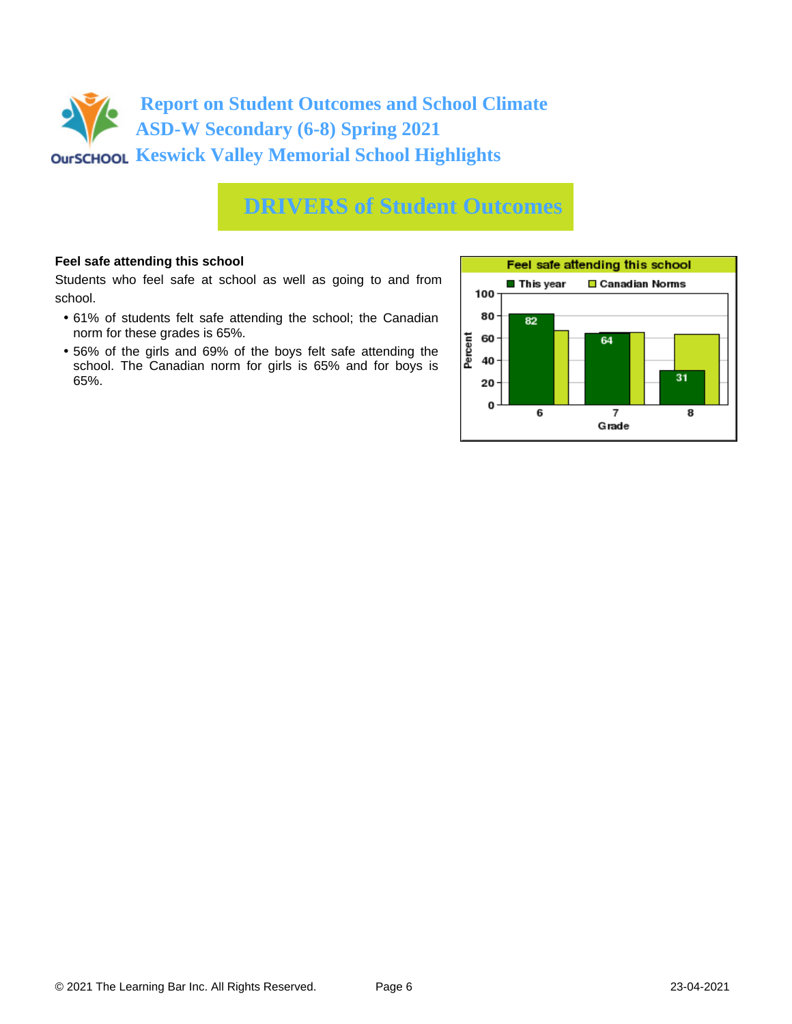

### **DRIVERS of Student Outcomes**

#### **Feel safe attending this school**

Students who feel safe at school as well as going to and from school.

- 61% of students felt safe attending the school; the Canadian norm for these grades is 65%.
- 56% of the girls and 69% of the boys felt safe attending the school. The Canadian norm for girls is 65% and for boys is 65%.

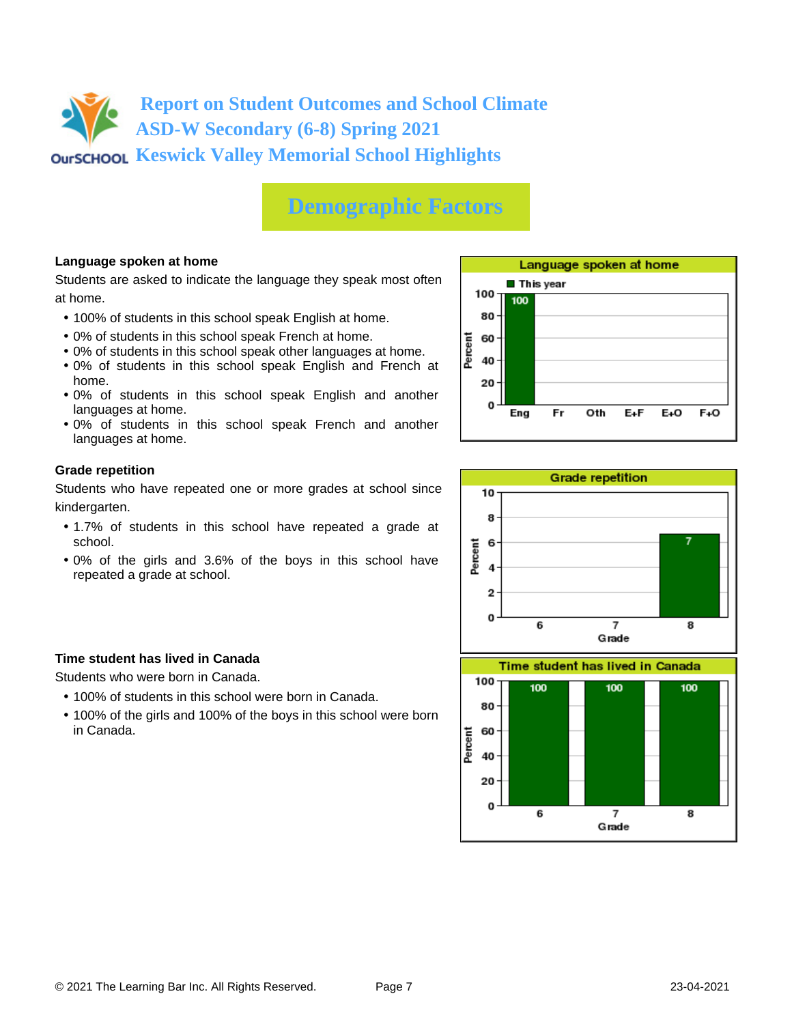

### **Demographic Factors**

#### **Language spoken at home**

Students are asked to indicate the language they speak most often at home.

- 100% of students in this school speak English at home.
- 0% of students in this school speak French at home.
- 0% of students in this school speak other languages at home.
- 0% of students in this school speak English and French at home.
- 0% of students in this school speak English and another languages at home.
- 0% of students in this school speak French and another languages at home.

#### **Grade repetition**

Students who have repeated one or more grades at school since kindergarten.

- 1.7% of students in this school have repeated a grade at school.
- 0% of the girls and 3.6% of the boys in this school have repeated a grade at school.

#### **Time student has lived in Canada**

Students who were born in Canada.

- 100% of students in this school were born in Canada.
- 100% of the girls and 100% of the boys in this school were born in Canada.



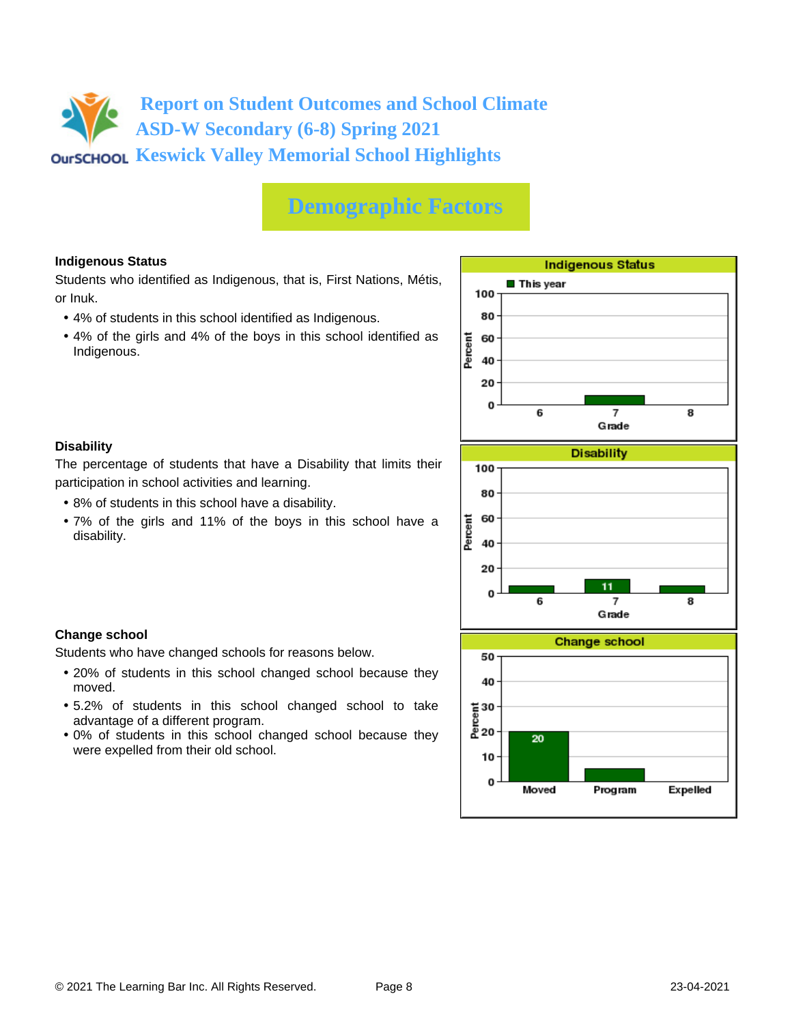## **Demographic Factors**

### **Indigenous Status**

Students who identified as Indigenous, that is, First Nations, Métis, or Inuk.

- 4% of students in this school identified as Indigenous.
- 4% of the girls and 4% of the boys in this school identified as Indigenous.



### **Disability**

**Change school**

moved.

The percentage of students that have a Disability that limits their participation in school activities and learning.

• 8% of students in this school have a disability.

Students who have changed schools for reasons below.

advantage of a different program.

were expelled from their old school.

• 7% of the girls and 11% of the boys in this school have a disability.

• 20% of students in this school changed school because they

• 5.2% of students in this school changed school to take

• 0% of students in this school changed school because they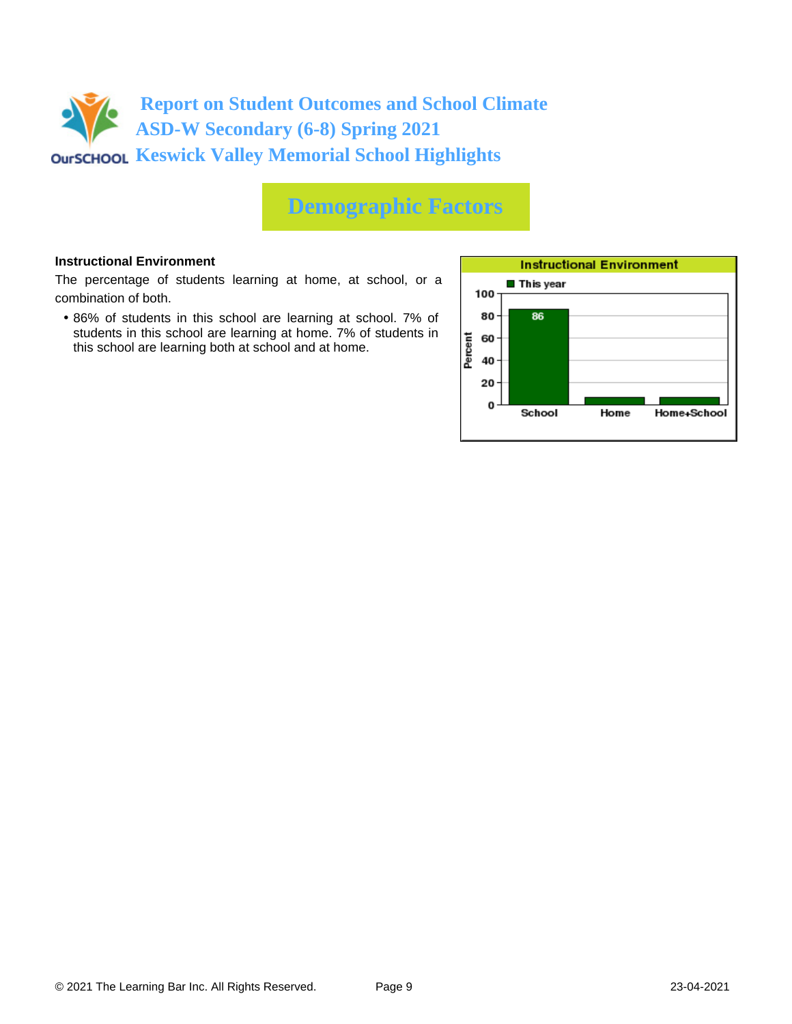

## **Demographic Factors**

#### **Instructional Environment**

The percentage of students learning at home, at school, or a combination of both.

• 86% of students in this school are learning at school. 7% of students in this school are learning at home. 7% of students in this school are learning both at school and at home.

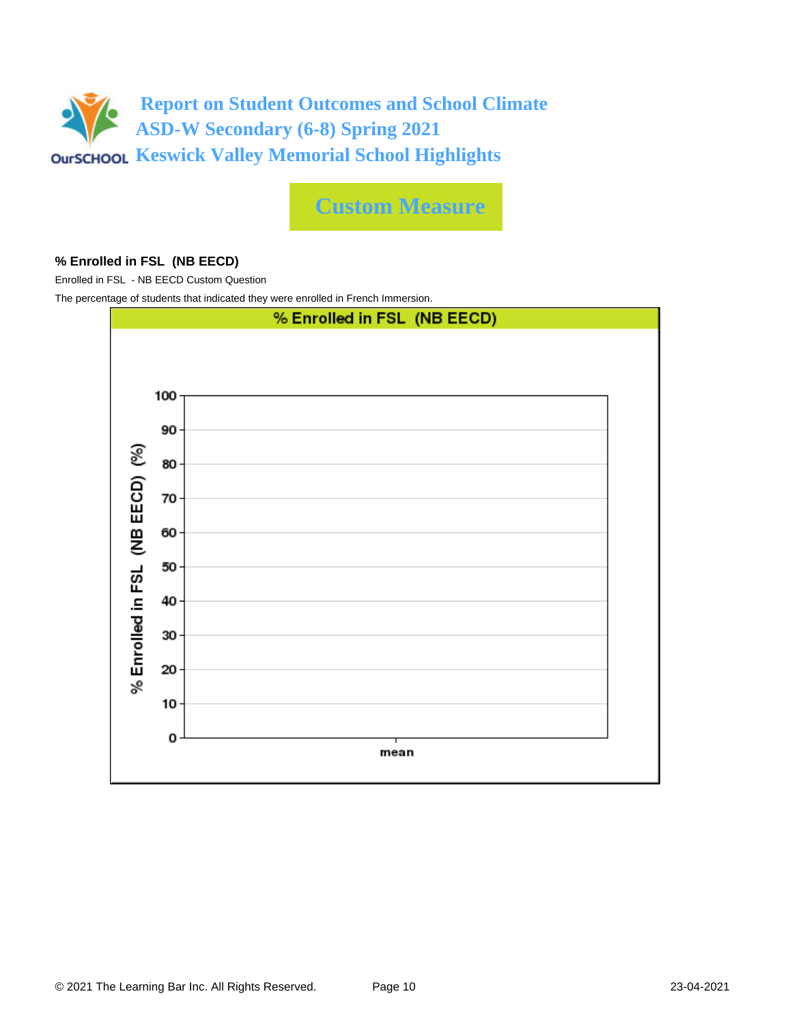

**Custom Measure**

#### **% Enrolled in FSL (NB EECD)**

Enrolled in FSL - NB EECD Custom Question

The percentage of students that indicated they were enrolled in French Immersion.

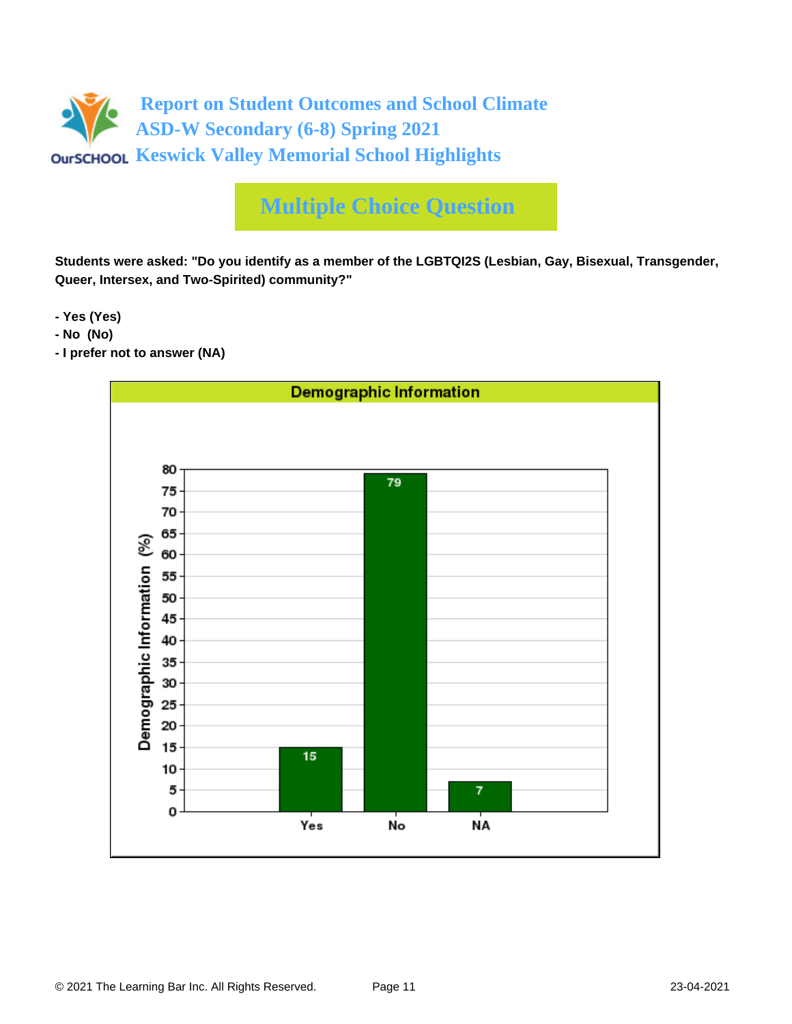

**Students were asked: "Do you identify as a member of the LGBTQI2S (Lesbian, Gay, Bisexual, Transgender, Queer, Intersex, and Two-Spirited) community?"**

**- Yes (Yes)**

- **No (No)**
- **I prefer not to answer (NA)**

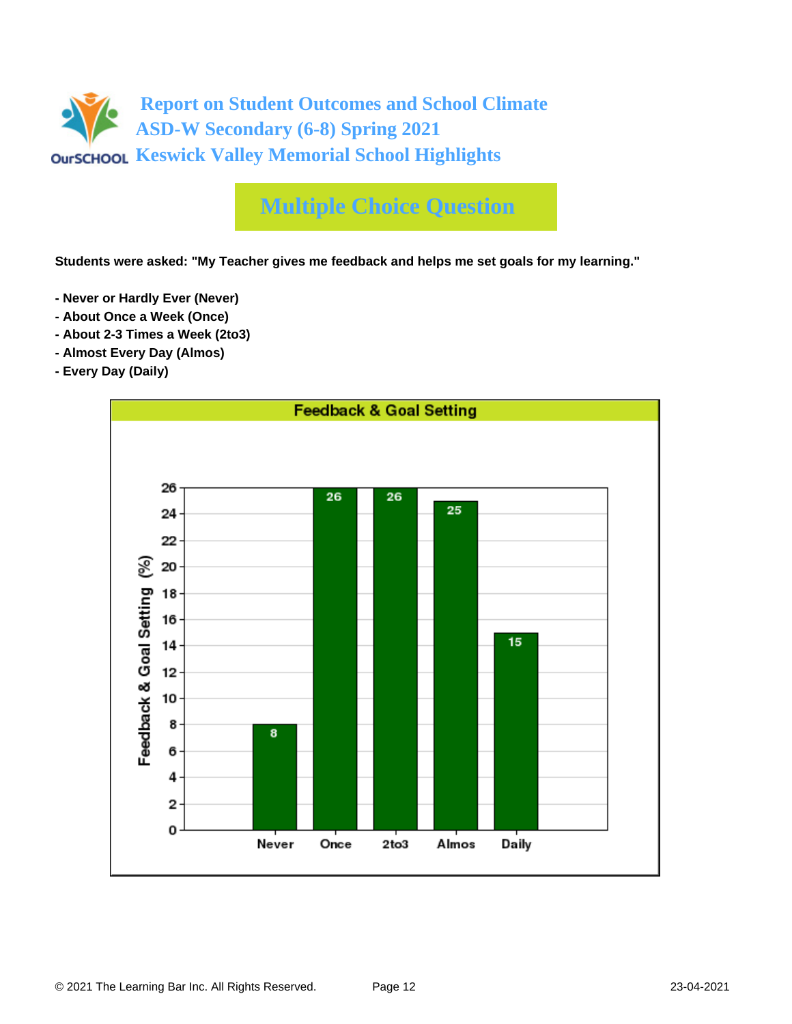

**Students were asked: "My Teacher gives me feedback and helps me set goals for my learning."**

- **Never or Hardly Ever (Never)**
- **About Once a Week (Once)**
- **About 2-3 Times a Week (2to3)**
- **Almost Every Day (Almos)**
- **Every Day (Daily)**

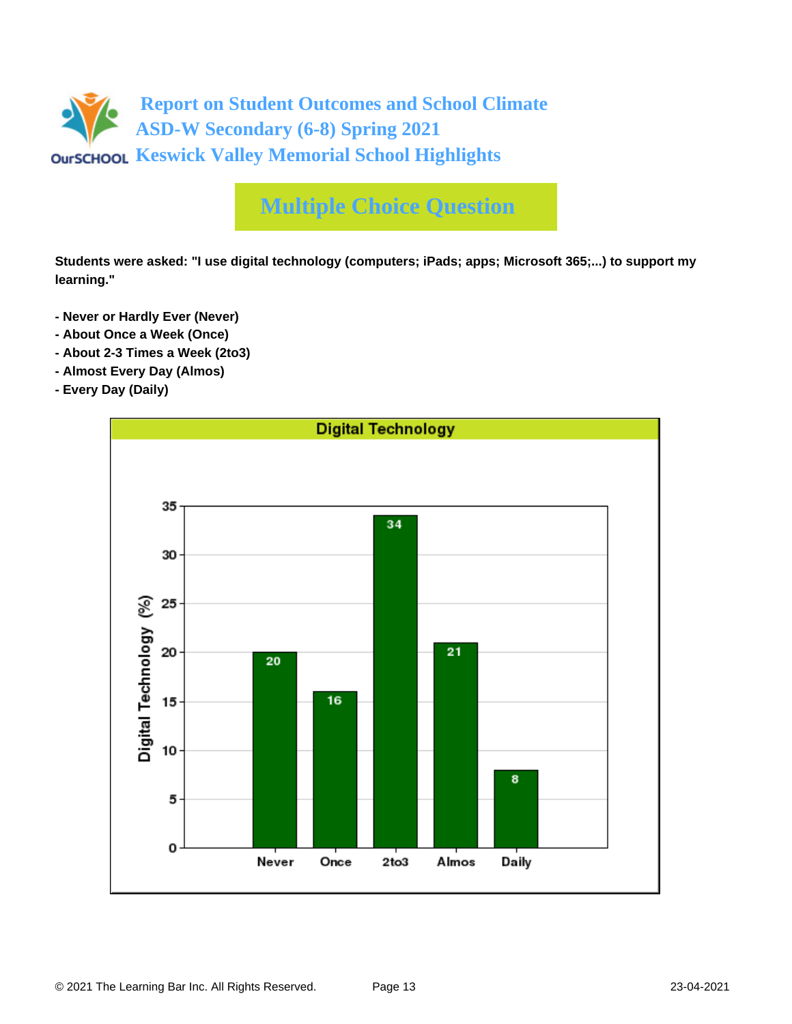

**Students were asked: "I use digital technology (computers; iPads; apps; Microsoft 365;...) to support my learning."**

- **Never or Hardly Ever (Never)**
- **About Once a Week (Once)**
- **About 2-3 Times a Week (2to3)**
- **Almost Every Day (Almos)**
- **Every Day (Daily)**

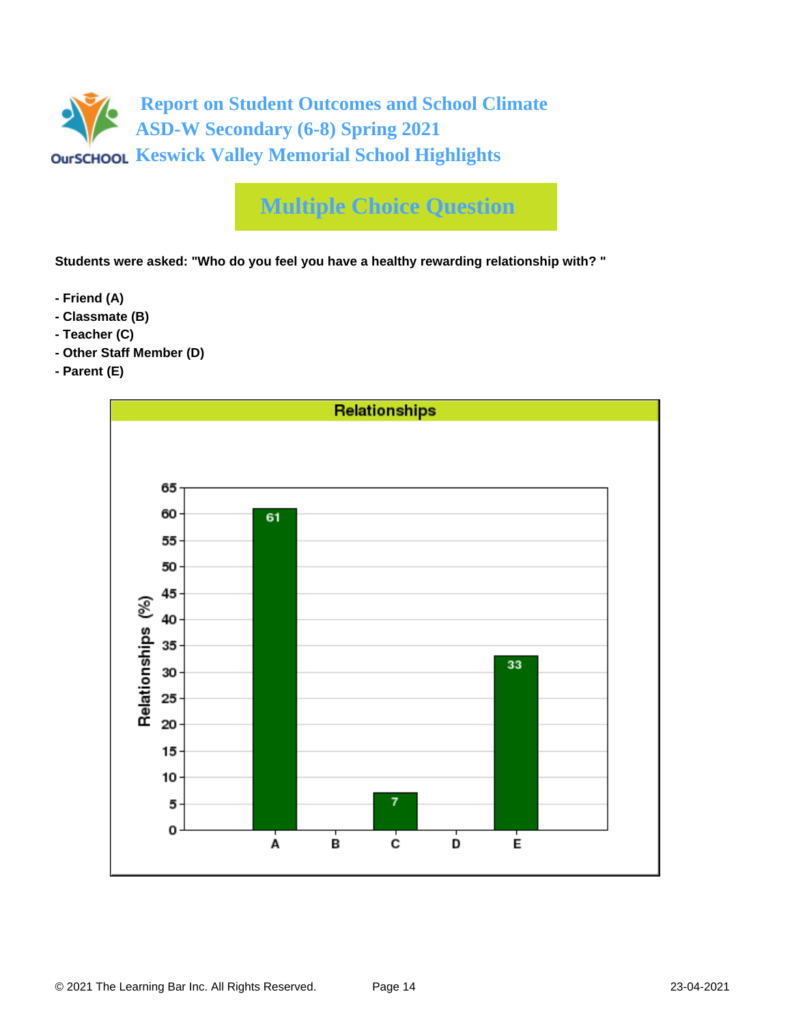

**Students were asked: "Who do you feel you have a healthy rewarding relationship with? "**

- **Friend (A)**
- **Classmate (B)**
- **Teacher (C)**
- **Other Staff Member (D)**
- **Parent (E)**